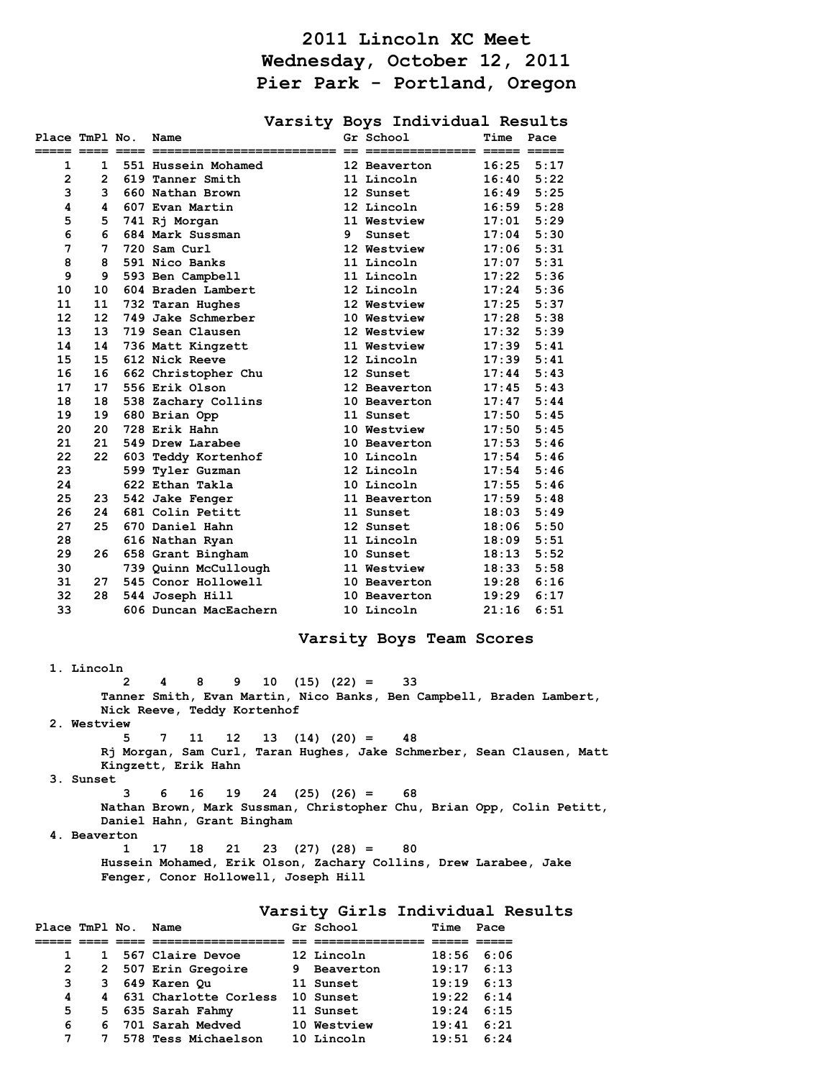## **2011 Lincoln XC Meet Wednesday, October 12, 2011 Pier Park - Portland, Oregon**

|                              |                   |                       |   |                  | Varsity Boys Individual Results |       |      |
|------------------------------|-------------------|-----------------------|---|------------------|---------------------------------|-------|------|
| Place TmPl No.<br>===== ==== |                   | Name<br>.== ========= |   | Gr School        | -- ---------                    | Time  | Pace |
| 1                            | 1                 | 551 Hussein Mohamed   |   |                  | 12 Beaverton                    | 16:25 | 5:17 |
| $\overline{2}$               | 2                 | 619 Tanner Smith      |   |                  | 11 Lincoln                      | 16:40 | 5:22 |
| 3                            | 3                 | 660 Nathan Brown      |   | <b>12 Sunset</b> |                                 | 16:49 | 5:25 |
| 4                            | 4                 | 607 Evan Martin       |   |                  | 12 Lincoln                      | 16:59 | 5:28 |
| 5                            | 5                 | 741 Rj Morgan         |   |                  | 11 Westview                     | 17:01 | 5:29 |
| 6                            | 6                 | 684 Mark Sussman      | 9 | Sunset           |                                 | 17:04 | 5:30 |
| 7                            | 7                 | 720 Sam Curl          |   |                  | 12 Westview                     | 17:06 | 5:31 |
| 8                            | 8                 | 591 Nico Banks        |   |                  | 11 Lincoln                      | 17:07 | 5:31 |
| 9                            | 9                 | 593 Ben Campbell      |   |                  | 11 Lincoln                      | 17:22 | 5:36 |
| 10                           | 10                | 604 Braden Lambert    |   |                  | 12 Lincoln                      | 17:24 | 5:36 |
| 11                           | 11                | 732 Taran Hughes      |   |                  | 12 Westview                     | 17:25 | 5:37 |
| 12                           | $12 \overline{ }$ | 749 Jake Schmerber    |   |                  | 10 Westview                     | 17:28 | 5:38 |
| 13                           | 13                | 719 Sean Clausen      |   |                  | 12 Westview                     | 17:32 | 5:39 |
| 14                           | 14                | 736 Matt Kingzett     |   |                  | 11 Westview                     | 17:39 | 5:41 |
| 15                           | 15                | 612 Nick Reeve        |   |                  | 12 Lincoln                      | 17:39 | 5:41 |
| 16                           | 16                | 662 Christopher Chu   |   | 12 Sunset        |                                 | 17:44 | 5:43 |
| 17                           | 17                | 556 Erik Olson        |   |                  | <b>12 Beaverton</b>             | 17:45 | 5:43 |
| 18                           | 18                | 538 Zachary Collins   |   |                  | 10 Beaverton                    | 17:47 | 5:44 |
| 19                           | 19                | 680 Brian Opp         |   | <b>11 Sunset</b> |                                 | 17:50 | 5:45 |
| 20                           | 20                | 728 Erik Hahn         |   |                  | 10 Westview                     | 17:50 | 5:45 |
| 21                           | 21                | 549 Drew Larabee      |   |                  | 10 Beaverton                    | 17:53 | 5:46 |
| 22                           | 22                | 603 Teddy Kortenhof   |   |                  | 10 Lincoln                      | 17:54 | 5:46 |
| 23                           |                   | 599 Tyler Guzman      |   |                  | 12 Lincoln                      | 17:54 | 5:46 |
| 24                           |                   | 622 Ethan Takla       |   |                  | 10 Lincoln                      | 17:55 | 5:46 |
| 25                           | 23                | 542 Jake Fenger       |   |                  | <b>11 Beaverton</b>             | 17:59 | 5:48 |
| 26                           | 24                | 681 Colin Petitt      |   | 11 Sunset        |                                 | 18:03 | 5:49 |
| 27                           | 25                | 670 Daniel Hahn       |   | 12 Sunset        |                                 | 18:06 | 5:50 |
| 28                           |                   | 616 Nathan Ryan       |   |                  | 11 Lincoln                      | 18:09 | 5:51 |
| 29                           | 26                | 658 Grant Bingham     |   | 10 Sunset        |                                 | 18:13 | 5:52 |
| 30                           |                   | 739 Quinn McCullough  |   |                  | 11 Westview                     | 18:33 | 5:58 |
| 31                           | 27                | 545 Conor Hollowell   |   |                  | 10 Beaverton                    | 19:28 | 6:16 |
| 32                           | 28                | 544 Joseph Hill       |   |                  | 10 Beaverton                    | 19:29 | 6:17 |
| 33                           |                   | 606 Duncan MacEachern |   |                  | 10 Lincoln                      | 21:16 | 6:51 |

## **Varsity Boys Team Scores**

 **1. Lincoln 2 4 8 9 10 (15) (22) = 33 Tanner Smith, Evan Martin, Nico Banks, Ben Campbell, Braden Lambert, Nick Reeve, Teddy Kortenhof 2. Westview 5 7 11 12 13 (14) (20) = 48 Rj Morgan, Sam Curl, Taran Hughes, Jake Schmerber, Sean Clausen, Matt Kingzett, Erik Hahn 3. Sunset 3 6 16 19 24 (25) (26) = 68 Nathan Brown, Mark Sussman, Christopher Chu, Brian Opp, Colin Petitt, Daniel Hahn, Grant Bingham** 

 **4. Beaverton** 

 **1 17 18 21 23 (27) (28) = 80 Hussein Mohamed, Erik Olson, Zachary Collins, Drew Larabee, Jake Fenger, Conor Hollowell, Joseph Hill** 

**Varsity Girls Individual Results** 

| Place TmPl No. |    | Name                    | Gr School   | Time               | Pace |
|----------------|----|-------------------------|-------------|--------------------|------|
|                |    |                         |             |                    |      |
|                |    | 1 567 Claire Devoe      | 12 Lincoln  | 18:56              | 6:06 |
| $\overline{2}$ |    | 2 507 Erin Gregoire     | 9 Beaverton | 19:17              | 6:13 |
| з              | 3  | 649 Karen Ou            | 11 Sunset   | 19:19              | 6:13 |
| 4              |    | 4 631 Charlotte Corless | 10 Sunset   | $19:22 \quad 6:14$ |      |
| 5              |    | 5 635 Sarah Fahmy       | 11 Sunset   | 19:24              | 6:15 |
| 6              | 6. | 701 Sarah Medved        | 10 Westview | 19:41              | 6:21 |
| 7              | 7  | 578 Tess Michaelson     | 10 Lincoln  | 19:51              | 6:24 |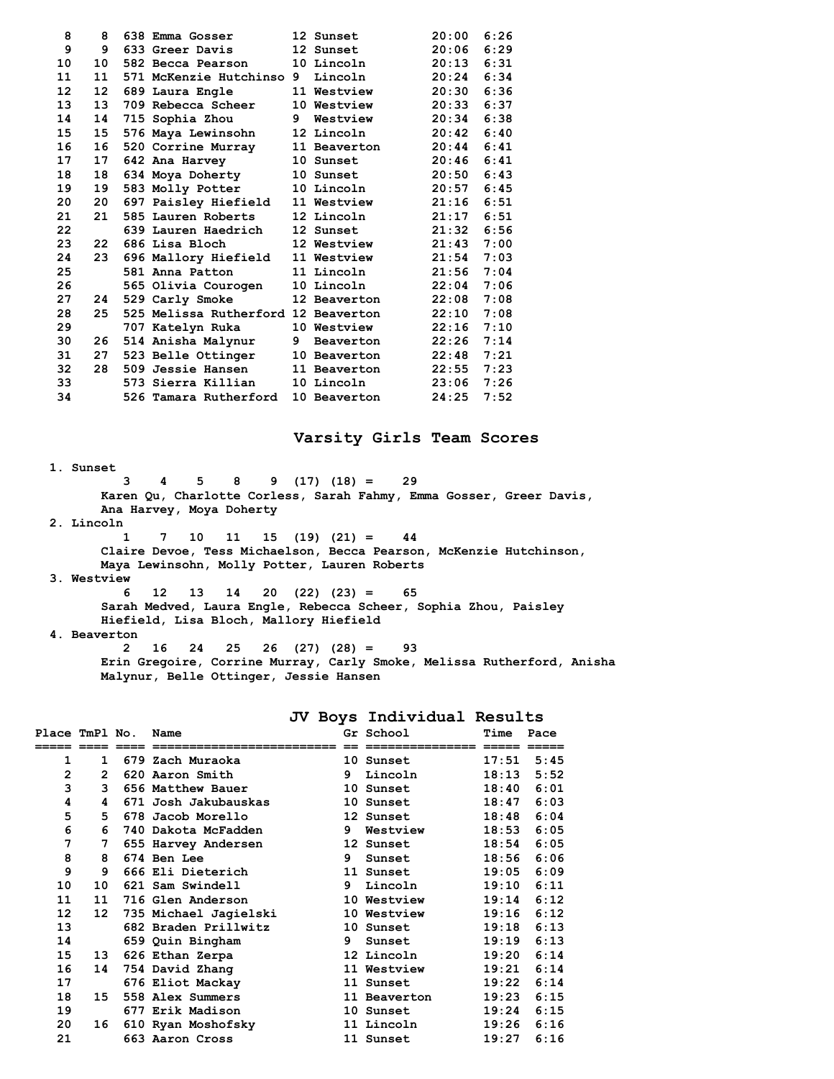| 8               | 8  | 638 Emma Gosser                     |   | <b>12 Sunset</b> | 20:00 | 6:26 |
|-----------------|----|-------------------------------------|---|------------------|-------|------|
| 9               | 9  | 633 Greer Davis                     |   | 12 Sunset        | 20:06 | 6:29 |
| 10              | 10 | 582 Becca Pearson                   |   | 10 Lincoln       | 20:13 | 6:31 |
| 11              | 11 | 571 McKenzie Hutchinso 9            |   | Lincoln          | 20:24 | 6:34 |
| 12 <sup>2</sup> | 12 | 689 Laura Engle                     |   | 11 Westview      | 20:30 | 6:36 |
| 13              | 13 | 709 Rebecca Scheer                  |   | 10 Westview      | 20:33 | 6:37 |
| 14              | 14 | 715 Sophia Zhou                     | 9 | Westview         | 20:34 | 6:38 |
| 15              | 15 | 576 Maya Lewinsohn                  |   | 12 Lincoln       | 20:42 | 6:40 |
| 16              | 16 | 520 Corrine Murray                  |   | 11 Beaverton     | 20:44 | 6:41 |
| 17              | 17 | 642 Ana Harvey                      |   | 10 Sunset        | 20:46 | 6:41 |
| 18              | 18 | 634 Moya Doherty                    |   | <b>10 Sunset</b> | 20:50 | 6:43 |
| 19              | 19 | 583 Molly Potter                    |   | 10 Lincoln       | 20:57 | 6:45 |
| 20              | 20 | 697 Paisley Hiefield                |   | 11 Westview      | 21:16 | 6:51 |
| 21              | 21 | 585 Lauren Roberts                  |   | 12 Lincoln       | 21:17 | 6:51 |
| 22              |    | 639 Lauren Haedrich                 |   | 12 Sunset        | 21:32 | 6:56 |
| 23              | 22 | 686 Lisa Bloch                      |   | 12 Westview      | 21:43 | 7:00 |
| 24              | 23 | 696 Mallory Hiefield                |   | 11 Westview      | 21:54 | 7:03 |
| 25              |    | 581 Anna Patton                     |   | 11 Lincoln       | 21:56 | 7:04 |
| 26              |    | 565 Olivia Courogen                 |   | 10 Lincoln       | 22:04 | 7:06 |
| 27              | 24 | 529 Carly Smoke                     |   | 12 Beaverton     | 22:08 | 7:08 |
| 28              | 25 | 525 Melissa Rutherford 12 Beaverton |   |                  | 22:10 | 7:08 |
| 29              |    | 707 Katelyn Ruka                    |   | 10 Westview      | 22:16 | 7:10 |
| 30              | 26 | 514 Anisha Malynur                  | 9 | Beaverton        | 22:26 | 7:14 |
| 31              | 27 | 523 Belle Ottinger                  |   | 10 Beaverton     | 22:48 | 7:21 |
| 32              | 28 | 509 Jessie Hansen                   |   | 11 Beaverton     | 22:55 | 7:23 |
| 33              |    | 573 Sierra Killian                  |   | 10 Lincoln       | 23:06 | 7:26 |
| 34              |    | 526 Tamara Rutherford               |   | 10 Beaverton     | 24:25 | 7:52 |
|                 |    |                                     |   |                  |       |      |

## **Varsity Girls Team Scores**

 **1. Sunset** 

 **3 4 5 8 9 (17) (18) = 29 Karen Qu, Charlotte Corless, Sarah Fahmy, Emma Gosser, Greer Davis, Ana Harvey, Moya Doherty** 

 **2. Lincoln** 

 **1 7 10 11 15 (19) (21) = 44 Claire Devoe, Tess Michaelson, Becca Pearson, McKenzie Hutchinson, Maya Lewinsohn, Molly Potter, Lauren Roberts 3. Westview** 

 **6 12 13 14 20 (22) (23) = 65 Sarah Medved, Laura Engle, Rebecca Scheer, Sophia Zhou, Paisley Hiefield, Lisa Bloch, Mallory Hiefield** 

 **4. Beaverton** 

 **2 16 24 25 26 (27) (28) = 93 Erin Gregoire, Corrine Murray, Carly Smoke, Melissa Rutherford, Anisha Malynur, Belle Ottinger, Jessie Hansen** 

**JV Boys Individual Results** 

| Place TmPl No. |                | Name                  |    | Gr School        | Time  | Pace |
|----------------|----------------|-----------------------|----|------------------|-------|------|
|                |                |                       |    |                  |       |      |
| 1              | $\mathbf{1}$   | 679 Zach Muraoka      |    | 10 Sunset        | 17:51 | 5:45 |
| $\mathbf{2}$   | $\overline{2}$ | 620 Aaron Smith       | 9. | Lincoln          | 18:13 | 5:52 |
| 3              | 3              | 656 Matthew Bauer     |    | 10 Sunset        | 18:40 | 6:01 |
| 4              | 4              | 671 Josh Jakubauskas  |    | 10 Sunset        | 18:47 | 6:03 |
| 5              | 5              | 678 Jacob Morello     |    | 12 Sunset        | 18:48 | 6:04 |
| 6              | 6              | 740 Dakota McFadden   | 9  | Westview         | 18:53 | 6:05 |
| 7              | 7              | 655 Harvey Andersen   |    | 12 Sunset        | 18:54 | 6:05 |
| 8              | 8              | 674 Ben Lee           | 9. | Sunset           | 18:56 | 6:06 |
| 9              | 9              | 666 Eli Dieterich     |    | 11 Sunset        | 19:05 | 6:09 |
| 10             | 10             | 621 Sam Swindell      | 9. | Lincoln          | 19:10 | 6:11 |
| 11             | 11             | 716 Glen Anderson     |    | 10 Westview      | 19:14 | 6:12 |
| 12             | 12             | 735 Michael Jagielski |    | 10 Westview      | 19:16 | 6:12 |
| 13             |                | 682 Braden Prillwitz  |    | <b>10 Sunset</b> | 19:18 | 6:13 |
| 14             |                | 659 Quin Bingham      | 9  | Sunset           | 19:19 | 6:13 |
| 15             | 13             | 626 Ethan Zerpa       |    | 12 Lincoln       | 19:20 | 6:14 |
| 16             | 14             | 754 David Zhang       |    | 11 Westview      | 19:21 | 6:14 |
| 17             |                | 676 Eliot Mackay      |    | 11 Sunset        | 19:22 | 6:14 |
| 18             | 15             | 558 Alex Summers      |    | 11 Beaverton     | 19:23 | 6:15 |
| 19             |                | 677 Erik Madison      |    | 10 Sunset        | 19:24 | 6:15 |
| 20             | 16             | 610 Ryan Moshofsky    |    | 11 Lincoln       | 19:26 | 6:16 |
| 21             |                | 663 Aaron Cross       |    | 11 Sunset        | 19:27 | 6:16 |
|                |                |                       |    |                  |       |      |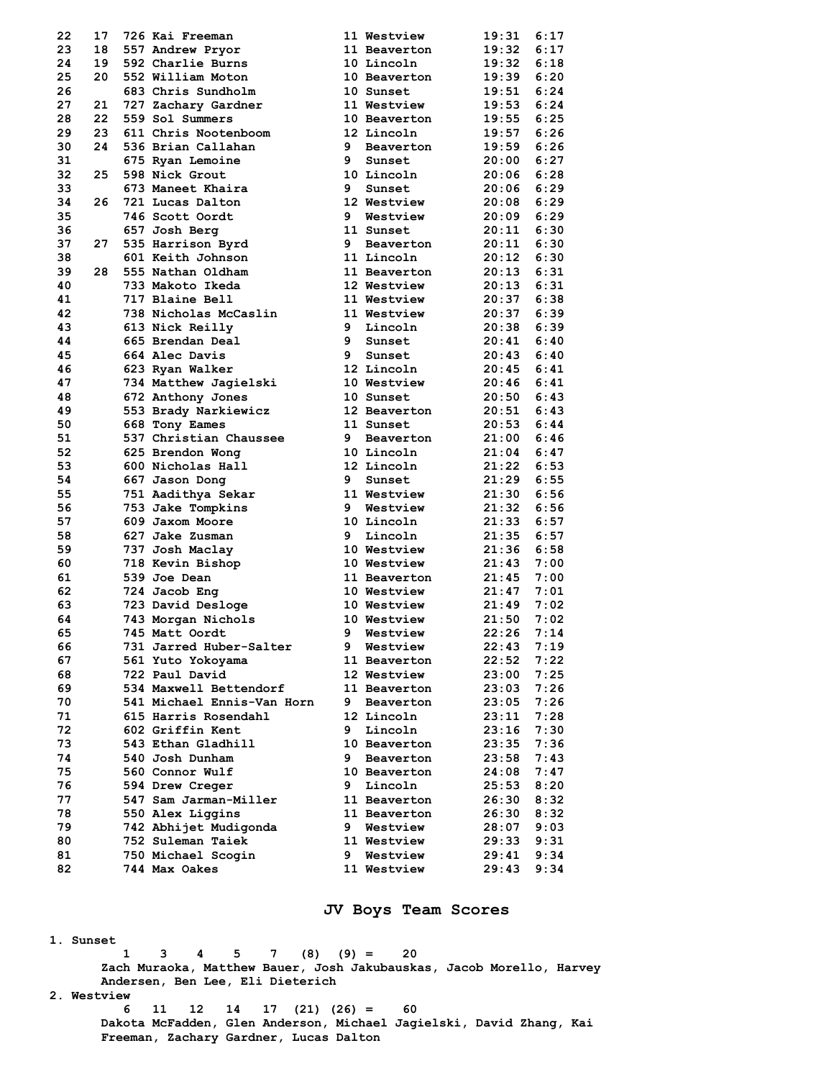| 22 | 17 | 726 Kai Freeman            |    | 11 Westview         | 19:31 | 6:17 |
|----|----|----------------------------|----|---------------------|-------|------|
| 23 | 18 | 557 Andrew Pryor           |    | 11 Beaverton        | 19:32 | 6:17 |
| 24 | 19 | 592 Charlie Burns          |    | 10 Lincoln          | 19:32 | 6:18 |
| 25 | 20 | 552 William Moton          |    | 10 Beaverton        | 19:39 | 6:20 |
| 26 |    | 683 Chris Sundholm         |    | 10 Sunset           | 19:51 | 6:24 |
| 27 | 21 | 727 Zachary Gardner        |    | 11 Westview         | 19:53 | 6:24 |
| 28 | 22 | 559 Sol Summers            |    | 10 Beaverton        | 19:55 | 6:25 |
| 29 | 23 | 611 Chris Nootenboom       |    | 12 Lincoln          | 19:57 | 6:26 |
| 30 | 24 | 536 Brian Callahan         | 9  | Beaverton           | 19:59 | 6:26 |
| 31 |    | 675 Ryan Lemoine           | 9  | Sunset              | 20:00 | 6:27 |
| 32 | 25 | 598 Nick Grout             |    | 10 Lincoln          | 20:06 | 6:28 |
| 33 |    | 673 Maneet Khaira          | 9  | Sunset              | 20:06 | 6:29 |
| 34 | 26 | 721 Lucas Dalton           |    | 12 Westview         | 20:08 | 6:29 |
| 35 |    | 746 Scott Oordt            |    | 9 Westview          | 20:09 | 6:29 |
| 36 |    | 657 Josh Berg              |    | 11 Sunset           | 20:11 | 6:30 |
| 37 | 27 | 535 Harrison Byrd          | 9  | Beaverton           | 20:11 | 6:30 |
| 38 |    | 601 Keith Johnson          |    | 11 Lincoln          | 20:12 | 6:30 |
| 39 | 28 | 555 Nathan Oldham          |    | 11 Beaverton        | 20:13 | 6:31 |
| 40 |    | 733 Makoto Ikeda           |    | 12 Westview         | 20:13 | 6:31 |
| 41 |    | 717 Blaine Bell            |    | 11 Westview         | 20:37 | 6:38 |
| 42 |    |                            |    |                     | 20:37 | 6:39 |
|    |    | 738 Nicholas McCaslin      |    | 11 Westview         |       | 6:39 |
| 43 |    | 613 Nick Reilly            | 9  | Lincoln             | 20:38 |      |
| 44 |    | 665 Brendan Deal           |    | 9 Sunset            | 20:41 | 6:40 |
| 45 |    | 664 Alec Davis             | 9  | Sunset              | 20:43 | 6:40 |
| 46 |    | 623 Ryan Walker            |    | 12 Lincoln          | 20:45 | 6:41 |
| 47 |    | 734 Matthew Jagielski      |    | 10 Westview         | 20:46 | 6:41 |
| 48 |    | 672 Anthony Jones          |    | 10 Sunset           | 20:50 | 6:43 |
| 49 |    | 553 Brady Narkiewicz       |    | 12 Beaverton        | 20:51 | 6:43 |
| 50 |    | 668 Tony Eames             |    | 11 Sunset           | 20:53 | 6:44 |
| 51 |    | 537 Christian Chaussee     |    | 9 Beaverton         | 21:00 | 6:46 |
| 52 |    | 625 Brendon Wong           |    | 10 Lincoln          | 21:04 | 6:47 |
| 53 |    | 600 Nicholas Hall          |    | 12 Lincoln          | 21:22 | 6:53 |
| 54 |    | 667 Jason Dong             | 9  | Sunset              | 21:29 | 6:55 |
| 55 |    | 751 Aadithya Sekar         |    | 11 Westview         | 21:30 | 6:56 |
| 56 |    | 753 Jake Tompkins          | 9  | Westview            | 21:32 | 6:56 |
| 57 |    | 609 Jaxom Moore            |    | 10 Lincoln          | 21:33 | 6:57 |
| 58 |    | 627 Jake Zusman            | 9  | Lincoln             | 21:35 | 6:57 |
| 59 |    | 737 Josh Maclay            |    | 10 Westview         | 21:36 | 6:58 |
| 60 |    | 718 Kevin Bishop           |    | 10 Westview         | 21:43 | 7:00 |
| 61 |    | 539 Joe Dean               |    | 11 Beaverton        | 21:45 | 7:00 |
| 62 |    | 724 Jacob Eng              |    | 10 Westview         | 21:47 | 7:01 |
| 63 |    | 723 David Desloge          |    | 10 Westview         | 21:49 | 7:02 |
| 64 |    | 743 Morgan Nichols         |    | 10 Westview         | 21:50 | 7:02 |
| 65 |    | 745 Matt Oordt             | 9  | Westview            | 22:26 | 7:14 |
| 66 |    | 731 Jarred Huber-Salter    | 9  | Westview            | 22:43 | 7:19 |
| 67 |    | 561 Yuto Yokoyama          |    | <b>11 Beaverton</b> | 22:52 | 7:22 |
| 68 |    | 722 Paul David             |    | 12 Westview         | 23:00 | 7:25 |
| 69 |    | 534 Maxwell Bettendorf     |    | 11 Beaverton        | 23:03 | 7:26 |
| 70 |    | 541 Michael Ennis-Van Horn | 9  | Beaverton           | 23:05 | 7:26 |
| 71 |    | 615 Harris Rosendahl       |    | 12 Lincoln          | 23:11 | 7:28 |
| 72 |    | 602 Griffin Kent           | 9  | Lincoln             | 23:16 | 7:30 |
| 73 |    | 543 Ethan Gladhill         |    | 10 Beaverton        | 23:35 | 7:36 |
| 74 |    | 540 Josh Dunham            | 9. | Beaverton           | 23:58 | 7:43 |
| 75 |    | 560 Connor Wulf            |    | 10 Beaverton        | 24:08 | 7:47 |
| 76 |    | 594 Drew Creger            | 9  | Lincoln             | 25:53 | 8:20 |
| 77 |    | 547 Sam Jarman-Miller      |    | 11 Beaverton        | 26:30 | 8:32 |
| 78 |    | 550 Alex Liggins           |    | 11 Beaverton        | 26:30 | 8:32 |
| 79 |    | 742 Abhijet Mudigonda      | 9. | Westview            | 28:07 | 9:03 |
| 80 |    | 752 Suleman Taiek          |    | 11 Westview         | 29:33 |      |
|    |    |                            |    |                     |       | 9:31 |
| 81 |    | 750 Michael Scogin         | 9  | Westview            | 29:41 | 9:34 |
| 82 |    | 744 Max Oakes              |    | <b>11 Westview</b>  | 29:43 | 9:34 |

## **JV Boys Team Scores**

 **1. Sunset** 

 **1 3 4 5 7 (8) (9) = 20 Zach Muraoka, Matthew Bauer, Josh Jakubauskas, Jacob Morello, Harvey Andersen, Ben Lee, Eli Dieterich** 

 **2. Westview** 

 **6 11 12 14 17 (21) (26) = 60 Dakota McFadden, Glen Anderson, Michael Jagielski, David Zhang, Kai Freeman, Zachary Gardner, Lucas Dalton**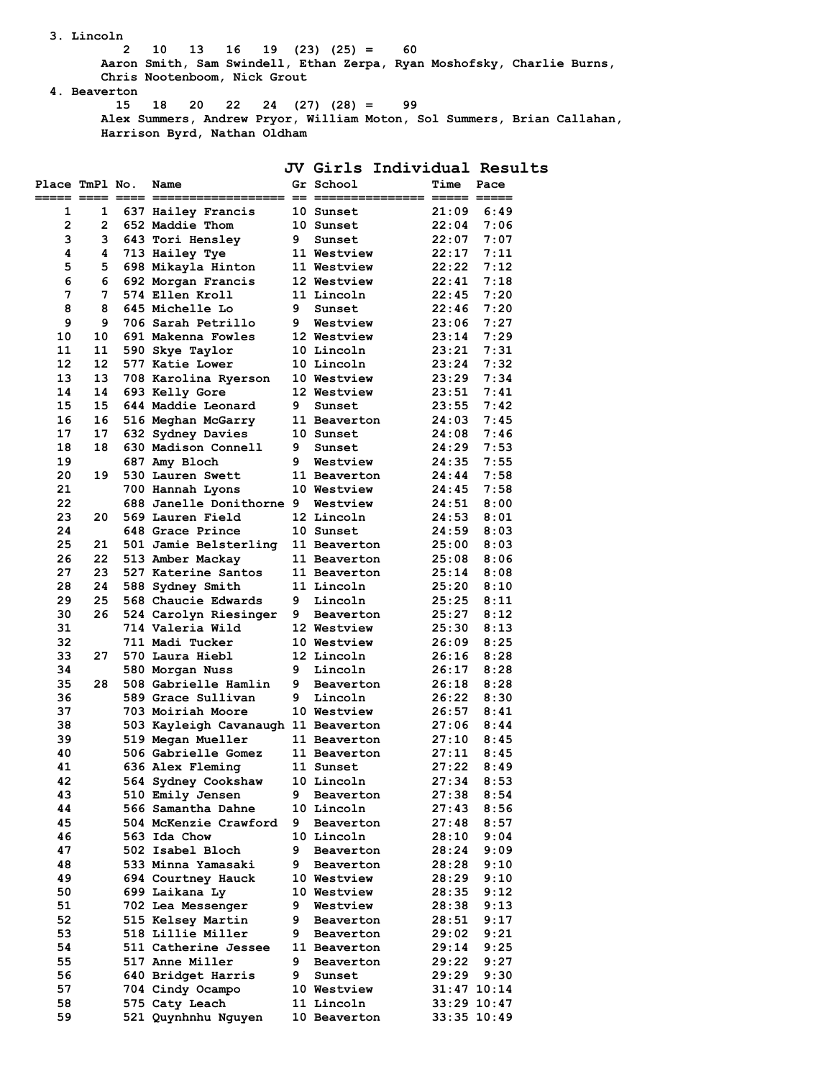**3. Lincoln** 

 **2 10 13 16 19 (23) (25) = 60** 

 **Aaron Smith, Sam Swindell, Ethan Zerpa, Ryan Moshofsky, Charlie Burns, Chris Nootenboom, Nick Grout** 

 **4. Beaverton** 

 **15 18 20 22 24 (27) (28) = 99 Alex Summers, Andrew Pryor, William Moton, Sol Summers, Brian Callahan, Harrison Byrd, Nathan Oldham** 

|                |                |                                            |        |                               |                | JV Girls Individual Results |
|----------------|----------------|--------------------------------------------|--------|-------------------------------|----------------|-----------------------------|
| Place TmPl No. |                | Name                                       |        | Gr School                     | Time           | Pace                        |
| 1              | 1              | 637 Hailey Francis                         |        | 10 Sunset                     | 21:09          | 6:49                        |
| 2              | $\overline{2}$ | 652 Maddie Thom                            |        | 10 Sunset                     | 22:04          | 7:06                        |
| 3              | 3              | 643 Tori Hensley                           | 9      | Sunset                        | 22:07          | 7:07                        |
| 4              | 4              | 713 Hailey Tye                             |        | 11 Westview                   | 22:17          | 7:11                        |
| 5              | 5              | 698 Mikayla Hinton                         |        | 11 Westview                   | 22:22          | 7:12                        |
| 6              | 6              | 692 Morgan Francis                         |        | 12 Westview                   | 22:41          | 7:18                        |
| 7              | 7              | 574 Ellen Kroll                            |        | 11 Lincoln                    | 22:45          | 7:20                        |
| 8              | 8              | 645 Michelle Lo                            | 9      | Sunset                        | 22:46          | 7:20                        |
| 9              | 9              | 706 Sarah Petrillo                         | 9      | Westview                      | 23:06          | 7:27                        |
| 10             | 10             | 691 Makenna Fowles                         |        | 12 Westview                   | 23:14          | 7:29                        |
| 11             | 11             | 590 Skye Taylor                            |        | 10 Lincoln                    | 23:21          | 7:31                        |
| 12             | 12             | 577 Katie Lower                            |        | 10 Lincoln                    | 23:24          | 7:32                        |
| 13<br>14       | 13<br>14       | 708 Karolina Ryerson                       |        | 10 Westview<br>12 Westview    | 23:29<br>23:51 | 7:34<br>7:41                |
| 15             | 15             | 693 Kelly Gore<br>644 Maddie Leonard       | 9      | Sunset                        | 23:55          | 7:42                        |
| 16             | 16             | 516 Meghan McGarry                         |        | 11 Beaverton                  | 24:03          | 7:45                        |
| 17             | 17             | 632 Sydney Davies                          |        | <b>10 Sunset</b>              | 24:08          | 7:46                        |
| 18             | 18             | 630 Madison Connell                        | 9      | Sunset                        | 24:29          | 7:53                        |
| 19             |                | 687 Amy Bloch                              | 9      | Westview                      | 24:35          | 7:55                        |
| 20             | 19             | 530 Lauren Swett                           |        | 11 Beaverton                  | 24:44          | 7:58                        |
| 21             |                | 700 Hannah Lyons                           |        | 10 Westview                   | 24:45          | 7:58                        |
| 22             |                | 688 Janelle Donithorne 9                   |        | Westview                      | 24:51          | 8:00                        |
| 23             | 20             | 569 Lauren Field                           |        | 12 Lincoln                    | 24:53          | 8:01                        |
| 24             |                | 648 Grace Prince                           |        | 10 Sunset                     | 24:59          | 8:03                        |
| 25             | 21             | 501 Jamie Belsterling                      |        | 11 Beaverton                  | 25:00          | 8:03                        |
| 26             | 22             | 513 Amber Mackay                           |        | 11 Beaverton                  | 25:08          | 8:06                        |
| 27             | 23             | 527 Katerine Santos                        |        | 11 Beaverton                  | 25:14          | 8:08                        |
| 28             | 24             | 588 Sydney Smith                           |        | 11 Lincoln                    | 25:20          | 8:10                        |
| 29             | 25             | 568 Chaucie Edwards                        | 9      | Lincoln                       | 25:25          | 8:11                        |
| 30             | 26             | 524 Carolyn Riesinger                      |        | 9 Beaverton                   | 25:27          | 8:12                        |
| 31             |                | 714 Valeria Wild                           |        | 12 Westview                   | 25:30          | 8:13                        |
| 32             |                | 711 Madi Tucker                            |        | 10 Westview                   | 26:09          | 8:25                        |
| 33             | 27             | 570 Laura Hiebl                            |        | 12 Lincoln                    | 26:16          | 8:28                        |
| 34             |                | 580 Morgan Nuss                            | 9      | Lincoln                       | 26:17          | 8:28                        |
| 35             | 28             | 508 Gabrielle Hamlin<br>589 Grace Sullivan | 9<br>9 | Beaverton                     | 26:18          | 8:28<br>8:30                |
| 36<br>37       |                | 703 Moiriah Moore                          |        | Lincoln<br><b>10 Westview</b> | 26:22<br>26:57 | 8:41                        |
| 38             |                | 503 Kayleigh Cavanaugh 11 Beaverton        |        |                               | 27:06          | 8:44                        |
| 39             |                | 519 Megan Mueller                          |        | 11 Beaverton                  | 27:10          | 8:45                        |
| 40             |                | 506 Gabrielle Gomez                        |        | 11 Beaverton                  | 27:11          | 8:45                        |
| 41             |                | 636 Alex Fleming                           |        | 11 Sunset                     |                | 27:22 8:49                  |
| 42             |                | 564 Sydney Cookshaw                        |        | 10 Lincoln                    | 27:34          | 8:53                        |
| 43             |                | 510 Emily Jensen                           | 9      | Beaverton                     | 27:38          | 8:54                        |
| 44             |                | 566 Samantha Dahne                         |        | $10$ Lincoln                  | 27:43          | 8:56                        |
| 45             |                | 504 McKenzie Crawford                      | 9      | Beaverton                     | 27:48          | 8:57                        |
| 46             |                | 563 Ida Chow                               |        | 10 Lincoln                    | 28:10          | 9:04                        |
| 47             |                | 502 Isabel Bloch                           |        | 9 Beaverton                   | 28:24          | 9:09                        |
| 48             |                | 533 Minna Yamasaki                         |        | 9 Beaverton                   | 28:28          | 9:10                        |
| 49             |                | 694 Courtney Hauck                         |        | <b>10 Westview</b>            | 28:29          | 9:10                        |
| 50             |                | 699 Laikana Ly                             |        | 10 Westview                   | 28:35          | 9:12                        |
| 51             |                | 702 Lea Messenger                          | 9      | Westview                      | 28:38          | 9:13                        |
| 52             |                | 515 Kelsey Martin                          | 9      | Beaverton                     | 28:51          | 9:17                        |
| 53             |                | 518 Lillie Miller                          | 9      | Beaverton                     | 29:02          | 9:21                        |
| 54             |                | 511 Catherine Jessee                       |        | 11 Beaverton                  | 29:14          | 9:25                        |
| 55             |                | 517 Anne Miller                            | 9      | Beaverton                     | 29:22          | 9:27                        |
| 56             |                | 640 Bridget Harris                         | 9.     | Sunset                        | 29:29          | 9:30                        |
| 57             |                | 704 Cindy Ocampo                           |        | 10 Westview                   |                | $31:47$ $10:14$             |
| 58             |                | 575 Caty Leach                             |        | 11 Lincoln                    |                | 33:29 10:47                 |
| 59             |                | 521 Quynhnhu Nguyen                        |        | 10 Beaverton                  |                | 33:35 10:49                 |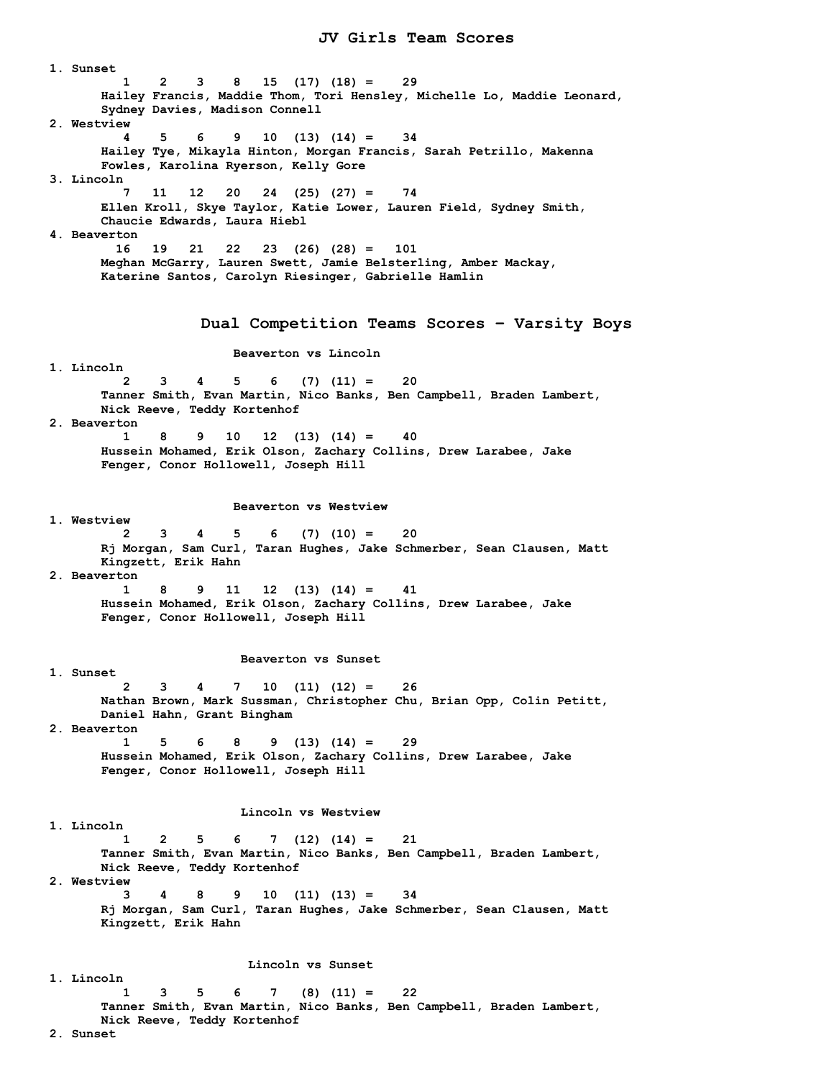**1. Sunset 1 2 3 8 15 (17) (18) = 29 Hailey Francis, Maddie Thom, Tori Hensley, Michelle Lo, Maddie Leonard, Sydney Davies, Madison Connell 2. Westview 4 5 6 9 10 (13) (14) = 34 Hailey Tye, Mikayla Hinton, Morgan Francis, Sarah Petrillo, Makenna Fowles, Karolina Ryerson, Kelly Gore 3. Lincoln 7 11 12 20 24 (25) (27) = 74 Ellen Kroll, Skye Taylor, Katie Lower, Lauren Field, Sydney Smith, Chaucie Edwards, Laura Hiebl 4. Beaverton 16 19 21 22 23 (26) (28) = 101 Meghan McGarry, Lauren Swett, Jamie Belsterling, Amber Mackay, Katerine Santos, Carolyn Riesinger, Gabrielle Hamlin Dual Competition Teams Scores – Varsity Boys Beaverton vs Lincoln 1. Lincoln 2 3 4 5 6 (7) (11) = 20 Tanner Smith, Evan Martin, Nico Banks, Ben Campbell, Braden Lambert, Nick Reeve, Teddy Kortenhof 2. Beaverton 1 8 9 10 12 (13) (14) = 40 Hussein Mohamed, Erik Olson, Zachary Collins, Drew Larabee, Jake Fenger, Conor Hollowell, Joseph Hill Beaverton vs Westview 1. Westview 2 3 4 5 6 (7) (10) = 20 Rj Morgan, Sam Curl, Taran Hughes, Jake Schmerber, Sean Clausen, Matt Kingzett, Erik Hahn 2. Beaverton 1 8 9 11 12 (13) (14) = 41 Hussein Mohamed, Erik Olson, Zachary Collins, Drew Larabee, Jake Fenger, Conor Hollowell, Joseph Hill Beaverton vs Sunset 1. Sunset 2 3 4 7 10 (11) (12) = 26 Nathan Brown, Mark Sussman, Christopher Chu, Brian Opp, Colin Petitt, Daniel Hahn, Grant Bingham 2. Beaverton 1 5 6 8 9 (13) (14) = 29 Hussein Mohamed, Erik Olson, Zachary Collins, Drew Larabee, Jake Fenger, Conor Hollowell, Joseph Hill Lincoln vs Westview 1. Lincoln 1 2 5 6 7 (12) (14) = 21 Tanner Smith, Evan Martin, Nico Banks, Ben Campbell, Braden Lambert, Nick Reeve, Teddy Kortenhof 2. Westview 3 4 8 9 10 (11) (13) = 34 Rj Morgan, Sam Curl, Taran Hughes, Jake Schmerber, Sean Clausen, Matt Kingzett, Erik Hahn Lincoln vs Sunset 1. Lincoln 1 3 5 6 7 (8) (11) = 22 Tanner Smith, Evan Martin, Nico Banks, Ben Campbell, Braden Lambert, Nick Reeve, Teddy Kortenhof** 

 **2. Sunset**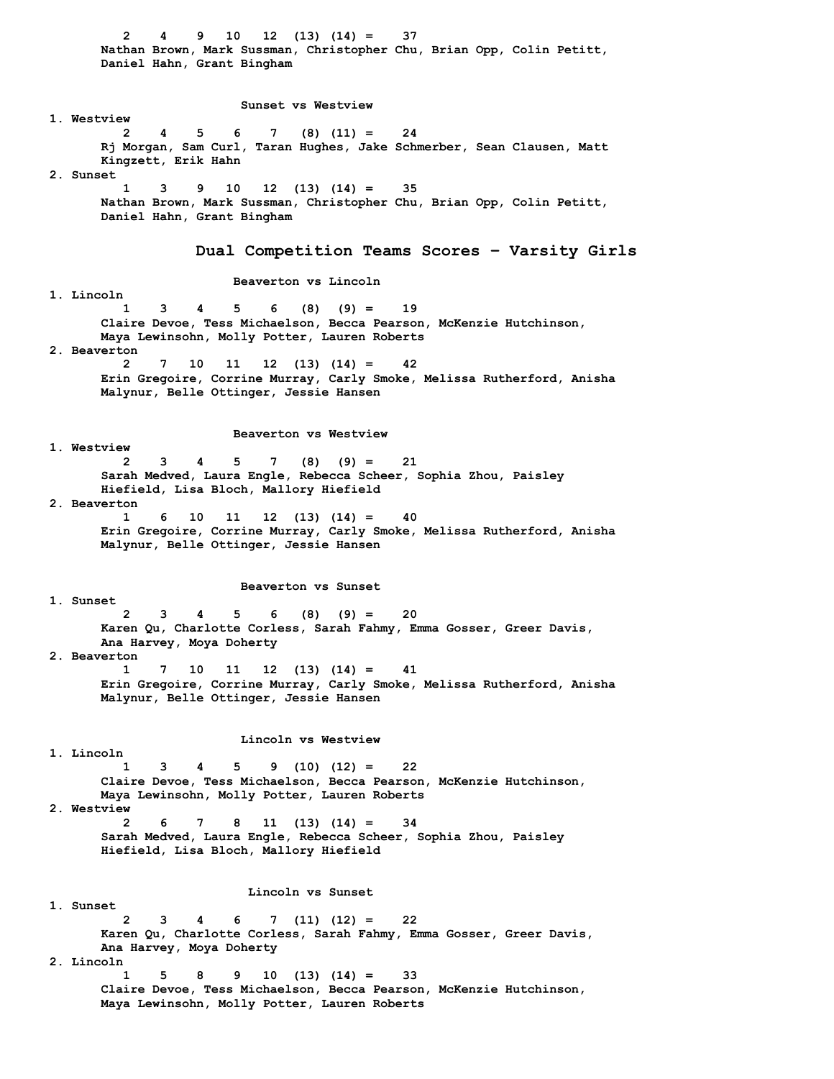**2 4 9 10 12 (13) (14) = 37 Nathan Brown, Mark Sussman, Christopher Chu, Brian Opp, Colin Petitt, Daniel Hahn, Grant Bingham Sunset vs Westview 1. Westview 2 4 5 6 7 (8) (11) = 24 Rj Morgan, Sam Curl, Taran Hughes, Jake Schmerber, Sean Clausen, Matt Kingzett, Erik Hahn 2. Sunset 1 3 9 10 12 (13) (14) = 35 Nathan Brown, Mark Sussman, Christopher Chu, Brian Opp, Colin Petitt, Daniel Hahn, Grant Bingham Dual Competition Teams Scores – Varsity Girls Beaverton vs Lincoln 1. Lincoln 1 3 4 5 6 (8) (9) = 19 Claire Devoe, Tess Michaelson, Becca Pearson, McKenzie Hutchinson, Maya Lewinsohn, Molly Potter, Lauren Roberts 2. Beaverton 2 7 10 11 12 (13) (14) = 42 Erin Gregoire, Corrine Murray, Carly Smoke, Melissa Rutherford, Anisha Malynur, Belle Ottinger, Jessie Hansen Beaverton vs Westview 1. Westview 2 3 4 5 7 (8) (9) = 21 Sarah Medved, Laura Engle, Rebecca Scheer, Sophia Zhou, Paisley Hiefield, Lisa Bloch, Mallory Hiefield 2. Beaverton 1 6 10 11 12 (13) (14) = 40 Erin Gregoire, Corrine Murray, Carly Smoke, Melissa Rutherford, Anisha Malynur, Belle Ottinger, Jessie Hansen Beaverton vs Sunset 1. Sunset 2 3 4 5 6 (8) (9) = 20 Karen Qu, Charlotte Corless, Sarah Fahmy, Emma Gosser, Greer Davis, Ana Harvey, Moya Doherty 2. Beaverton 1 7 10 11 12 (13) (14) = 41 Erin Gregoire, Corrine Murray, Carly Smoke, Melissa Rutherford, Anisha Malynur, Belle Ottinger, Jessie Hansen Lincoln vs Westview 1. Lincoln 1 3 4 5 9 (10) (12) = 22 Claire Devoe, Tess Michaelson, Becca Pearson, McKenzie Hutchinson, Maya Lewinsohn, Molly Potter, Lauren Roberts 2. Westview 2 6 7 8 11 (13) (14) = 34 Sarah Medved, Laura Engle, Rebecca Scheer, Sophia Zhou, Paisley Hiefield, Lisa Bloch, Mallory Hiefield Lincoln vs Sunset 1. Sunset 2 3 4 6 7 (11) (12) = 22 Karen Qu, Charlotte Corless, Sarah Fahmy, Emma Gosser, Greer Davis, Ana Harvey, Moya Doherty 2. Lincoln 1 5 8 9 10 (13) (14) = 33 Claire Devoe, Tess Michaelson, Becca Pearson, McKenzie Hutchinson, Maya Lewinsohn, Molly Potter, Lauren Roberts**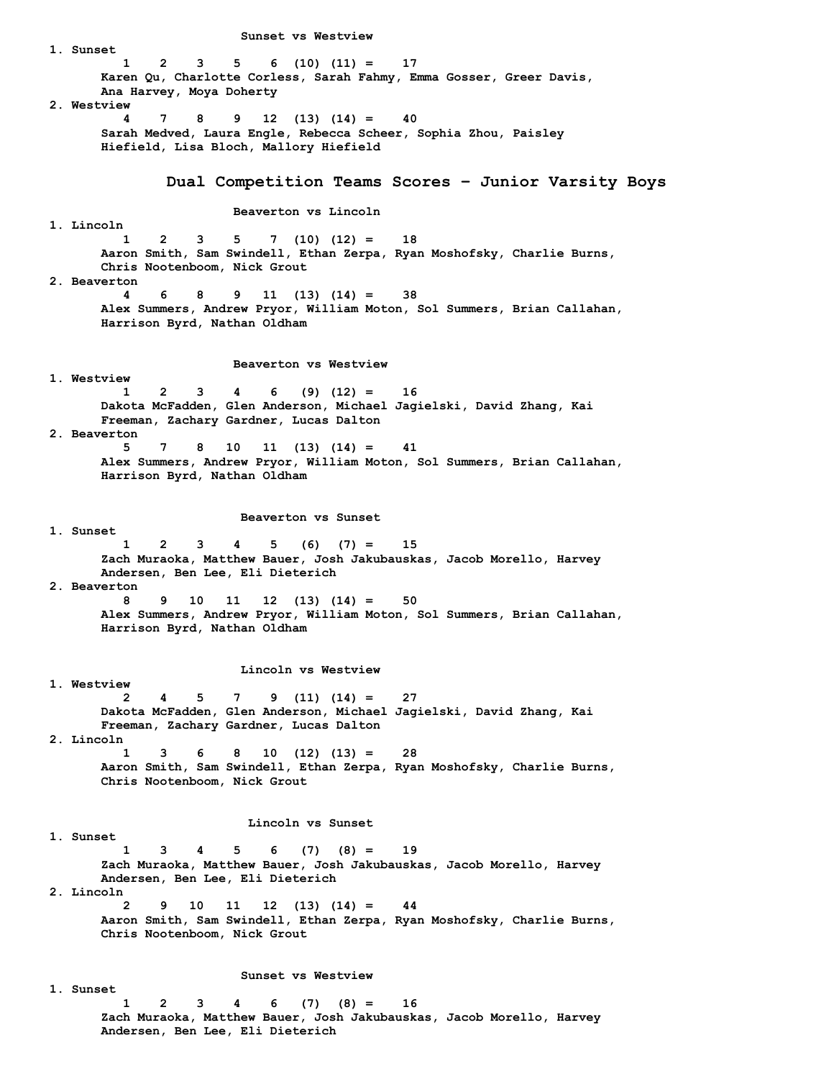**1. Sunset 1 2 3 5 6 (10) (11) = 17 Karen Qu, Charlotte Corless, Sarah Fahmy, Emma Gosser, Greer Davis, Ana Harvey, Moya Doherty 2. Westview 4 7 8 9 12 (13) (14) = 40 Sarah Medved, Laura Engle, Rebecca Scheer, Sophia Zhou, Paisley Hiefield, Lisa Bloch, Mallory Hiefield Dual Competition Teams Scores – Junior Varsity Boys Beaverton vs Lincoln 1. Lincoln 1 2 3 5 7 (10) (12) = 18 Aaron Smith, Sam Swindell, Ethan Zerpa, Ryan Moshofsky, Charlie Burns, Chris Nootenboom, Nick Grout 2. Beaverton 4 6 8 9 11 (13) (14) = 38 Alex Summers, Andrew Pryor, William Moton, Sol Summers, Brian Callahan, Harrison Byrd, Nathan Oldham Beaverton vs Westview 1. Westview 1 2 3 4 6 (9) (12) = 16 Dakota McFadden, Glen Anderson, Michael Jagielski, David Zhang, Kai Freeman, Zachary Gardner, Lucas Dalton 2. Beaverton 5 7 8 10 11 (13) (14) = 41 Alex Summers, Andrew Pryor, William Moton, Sol Summers, Brian Callahan, Harrison Byrd, Nathan Oldham Beaverton vs Sunset 1. Sunset 1 2 3 4 5 (6) (7) = 15 Zach Muraoka, Matthew Bauer, Josh Jakubauskas, Jacob Morello, Harvey Andersen, Ben Lee, Eli Dieterich 2. Beaverton 8 9 10 11 12 (13) (14) = 50 Alex Summers, Andrew Pryor, William Moton, Sol Summers, Brian Callahan, Harrison Byrd, Nathan Oldham Lincoln vs Westview 1. Westview 2 4 5 7 9 (11) (14) = 27 Dakota McFadden, Glen Anderson, Michael Jagielski, David Zhang, Kai Freeman, Zachary Gardner, Lucas Dalton 2. Lincoln 1 3 6 8 10 (12) (13) = 28 Aaron Smith, Sam Swindell, Ethan Zerpa, Ryan Moshofsky, Charlie Burns, Chris Nootenboom, Nick Grout Lincoln vs Sunset 1. Sunset 1 3 4 5 6 (7) (8) = 19 Zach Muraoka, Matthew Bauer, Josh Jakubauskas, Jacob Morello, Harvey Andersen, Ben Lee, Eli Dieterich 2. Lincoln 2 9 10 11 12 (13) (14) = 44 Aaron Smith, Sam Swindell, Ethan Zerpa, Ryan Moshofsky, Charlie Burns, Chris Nootenboom, Nick Grout Sunset vs Westview 1. Sunset 1 2 3 4 6 (7) (8) = 16 Zach Muraoka, Matthew Bauer, Josh Jakubauskas, Jacob Morello, Harvey Andersen, Ben Lee, Eli Dieterich** 

 **Sunset vs Westview**